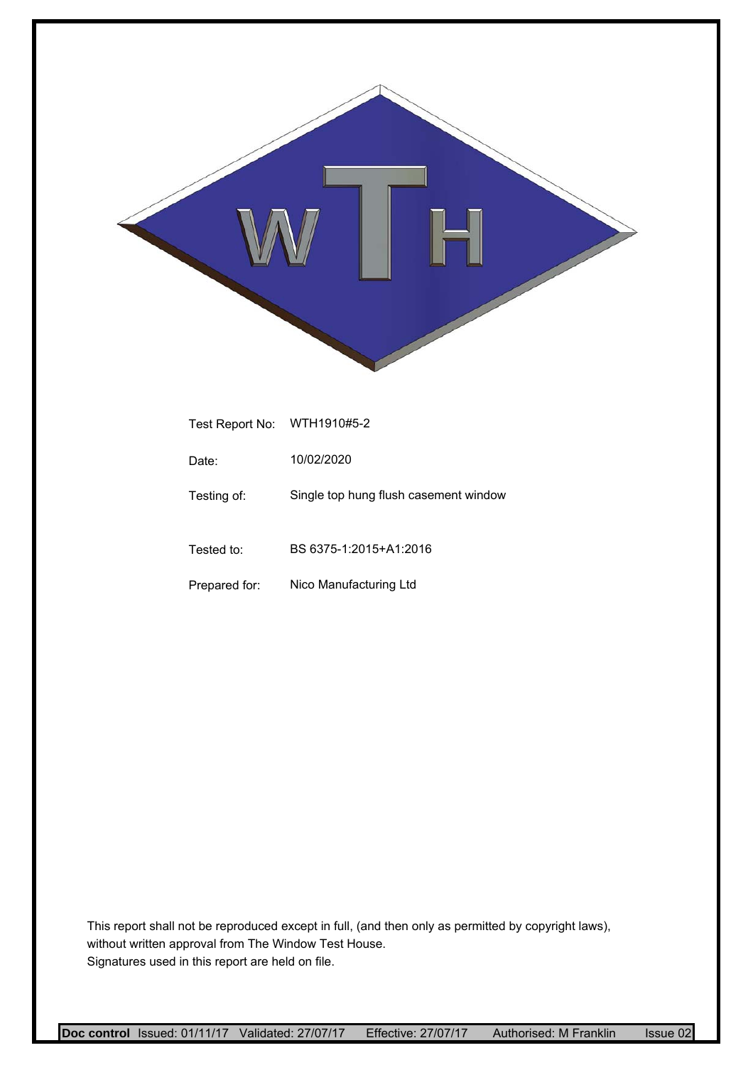

| Test Report No: | WTH1910#5-2                           |
|-----------------|---------------------------------------|
| Date:           | 10/02/2020                            |
| Testing of:     | Single top hung flush casement window |
| Tested to:      | BS 6375-1:2015+A1:2016                |
| Prepared for:   | Nico Manufacturing Ltd                |

This report shall not be reproduced except in full, (and then only as permitted by copyright laws), without written approval from The Window Test House. Signatures used in this report are held on file.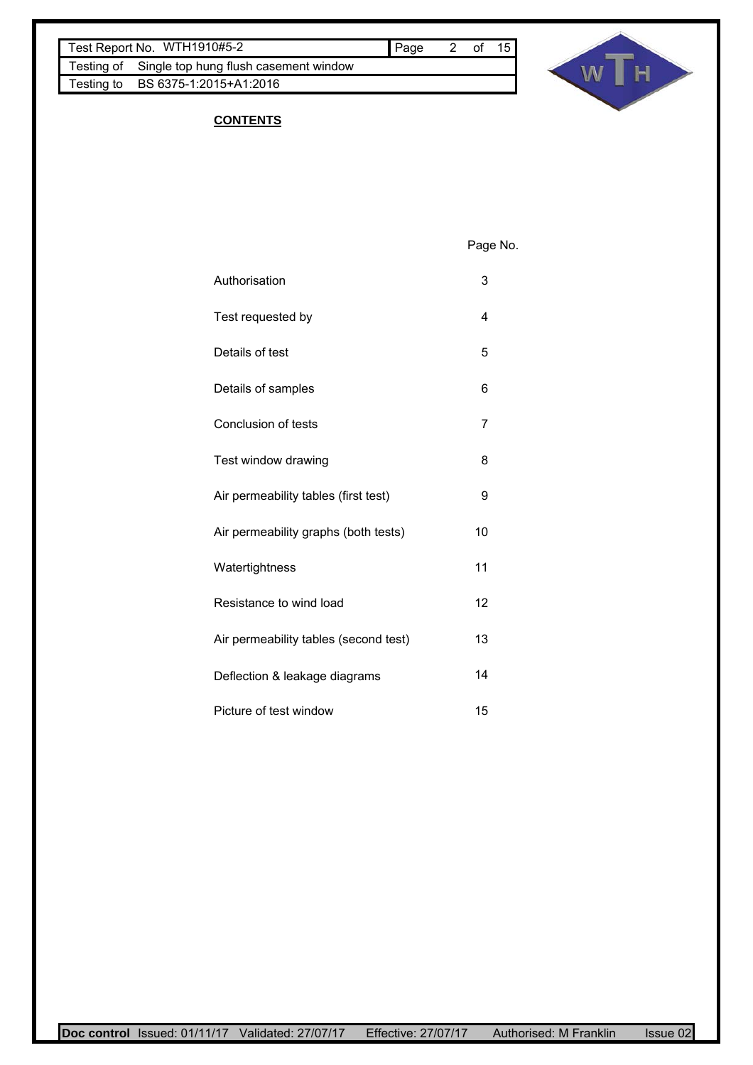Testing of Single top hung flush casement window Testing to BS 6375-1:2015+A1:2016



# **CONTENTS**

Page No.

- Authorisation 3
- Test requested by 4
- Details of test 5
- Details of samples 6
- Conclusion of tests 7
- Test window drawing **8** 8
- Air permeability tables (first test) 9
- Air permeability graphs (both tests) 10
- Watertightness 11
- Resistance to wind load 12
- Air permeability tables (second test) 13 Deflection & leakage diagrams 14 Picture of test window 15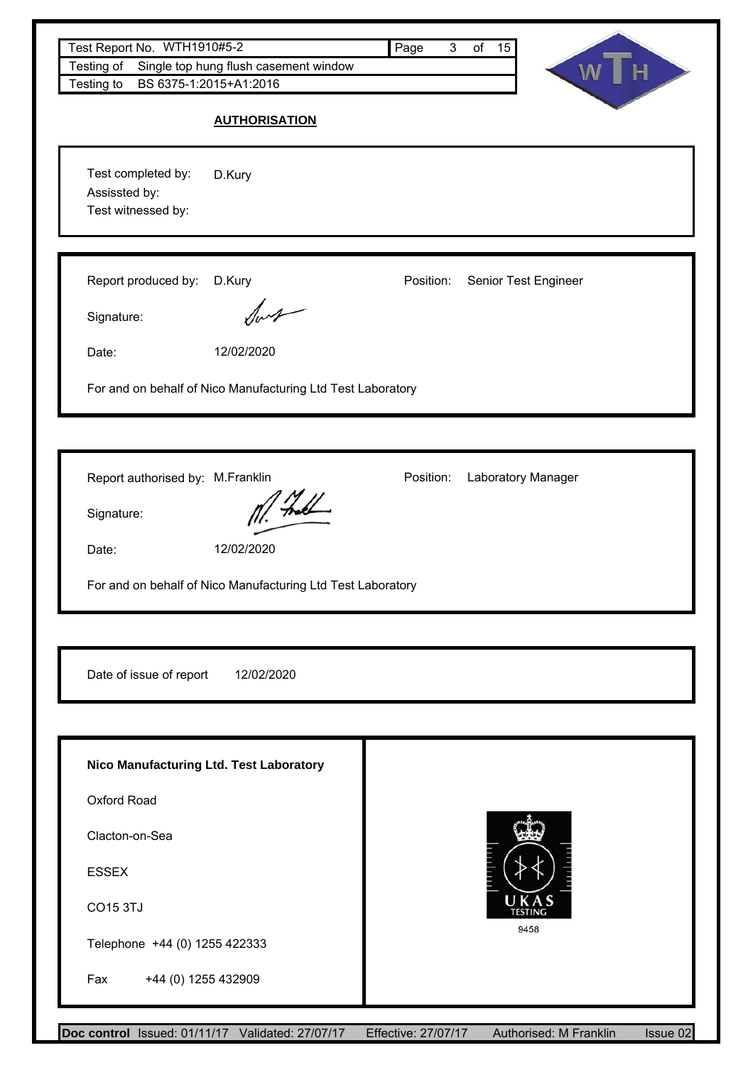| Test Report No. WTH1910#5-2<br>Testing of                 | Single top hung flush casement window                       | Page<br>3 <sup>7</sup> | of 15                    |  |
|-----------------------------------------------------------|-------------------------------------------------------------|------------------------|--------------------------|--|
| Testing to                                                | BS 6375-1:2015+A1:2016                                      |                        | $\mathsf{H}$<br><b>W</b> |  |
|                                                           | <b>AUTHORISATION</b>                                        |                        |                          |  |
| Test completed by:<br>Assissted by:<br>Test witnessed by: | D.Kury                                                      |                        |                          |  |
| Report produced by:<br>Signature:                         | D.Kury<br>$\sqrt{1-\frac{1}{2}}$                            | Position:              | Senior Test Engineer     |  |
| Date:                                                     | 12/02/2020                                                  |                        |                          |  |
|                                                           | For and on behalf of Nico Manufacturing Ltd Test Laboratory |                        |                          |  |
| Report authorised by: M.Franklin                          |                                                             | Position:              | Laboratory Manager       |  |
| Signature:                                                |                                                             |                        |                          |  |
| Date:                                                     | 12/02/2020                                                  |                        |                          |  |
|                                                           |                                                             |                        |                          |  |
|                                                           | For and on behalf of Nico Manufacturing Ltd Test Laboratory |                        |                          |  |
|                                                           |                                                             |                        |                          |  |
| Date of issue of report                                   | 12/02/2020                                                  |                        |                          |  |
|                                                           | Nico Manufacturing Ltd. Test Laboratory                     |                        |                          |  |
| Oxford Road                                               |                                                             |                        |                          |  |
| Clacton-on-Sea                                            |                                                             |                        |                          |  |
| <b>ESSEX</b>                                              |                                                             |                        |                          |  |
| <b>CO15 3TJ</b>                                           |                                                             |                        | UKAS<br>TESTING          |  |
| Telephone +44 (0) 1255 422333                             |                                                             |                        | 9458                     |  |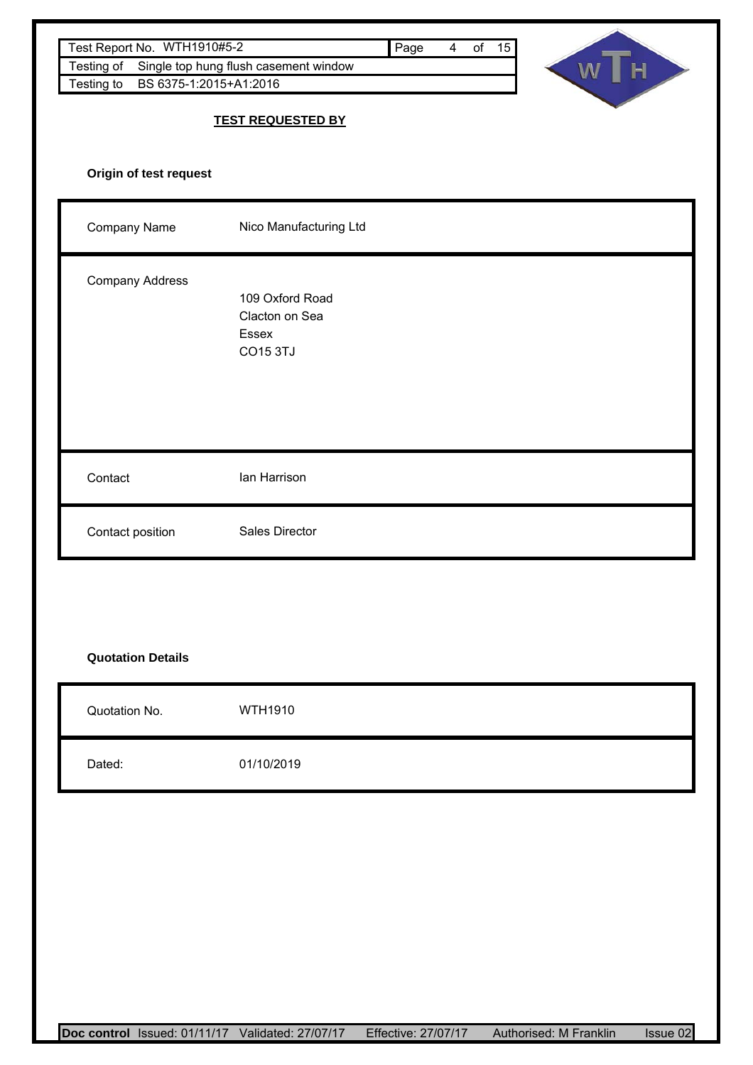| Test Report No. WTH1910#5-2<br>Testing of<br>BS 6375-1:2015+A1:2016<br>Testing to | Single top hung flush casement window                         | 4 of 15<br>Page | WT<br>$\mathbf{H}$ |
|-----------------------------------------------------------------------------------|---------------------------------------------------------------|-----------------|--------------------|
|                                                                                   | <b>TEST REQUESTED BY</b>                                      |                 |                    |
| Origin of test request                                                            |                                                               |                 |                    |
| Company Name                                                                      | Nico Manufacturing Ltd                                        |                 |                    |
| Company Address                                                                   | 109 Oxford Road<br>Clacton on Sea<br>Essex<br><b>CO15 3TJ</b> |                 |                    |
| Contact                                                                           | lan Harrison                                                  |                 |                    |
| Contact position                                                                  | <b>Sales Director</b>                                         |                 |                    |
|                                                                                   |                                                               |                 |                    |
| <b>Quotation Details</b>                                                          |                                                               |                 |                    |
| Quotation No.                                                                     | WTH1910                                                       |                 |                    |
| Dated:                                                                            | 01/10/2019                                                    |                 |                    |
|                                                                                   |                                                               |                 |                    |
|                                                                                   |                                                               |                 |                    |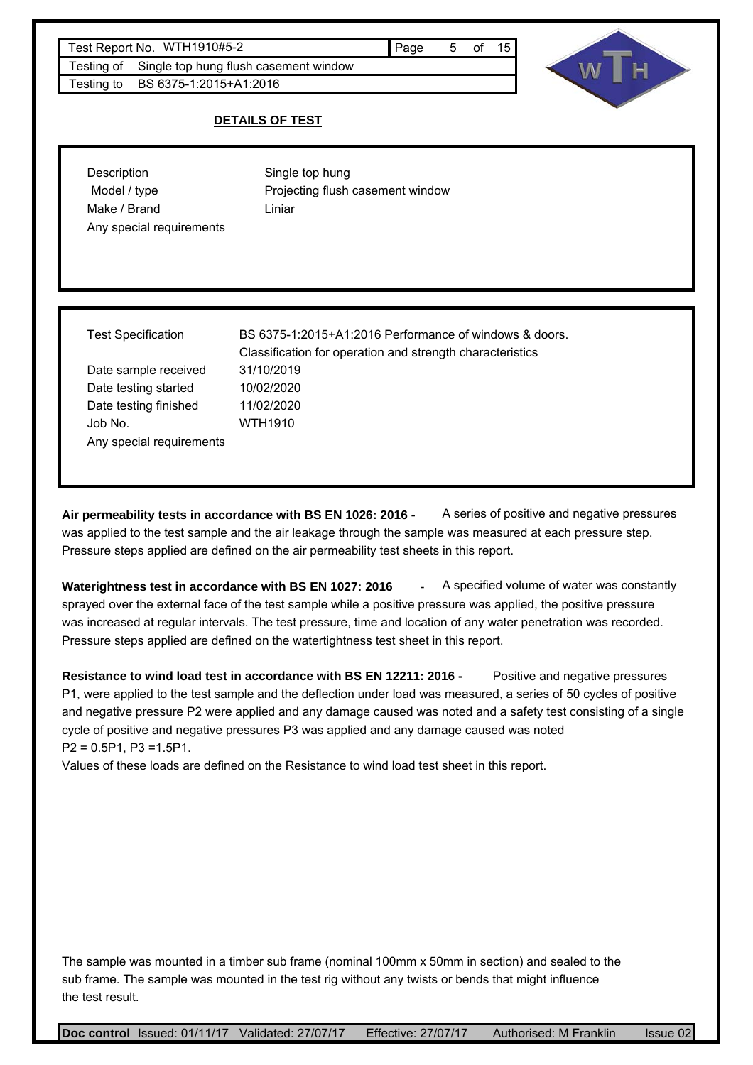#### Test Report No. WTH1910#5-2 and the state of the Page 5 of 15

Testing of Single top hung flush casement window Testing to BS 6375-1:2015+A1:2016

### **DETAILS OF TEST**

| Description              | Single top hung                  |
|--------------------------|----------------------------------|
| Model / type             | Projecting flush casement window |
| Make / Brand             | Liniar                           |
| Any special requirements |                                  |

Date testing started 10/02/2020 Date sample received 31/10/2019 Date testing finished 11/02/2020 Job No. WTH1910 Any special requirements

Test Specification BS 6375-1:2015+A1:2016 Performance of windows & doors. Classification for operation and strength characteristics

Air permeability tests in accordance with BS EN 1026: 2016 - A series of positive and negative pressures was applied to the test sample and the air leakage through the sample was measured at each pressure step. Pressure steps applied are defined on the air permeability test sheets in this report.

**Waterightness test in accordance with BS EN 1027: 2016** - A specified volume of water was constantly sprayed over the external face of the test sample while a positive pressure was applied, the positive pressure was increased at regular intervals. The test pressure, time and location of any water penetration was recorded. Pressure steps applied are defined on the watertightness test sheet in this report.

**Resistance to wind load test in accordance with BS EN 12211: 2016 -** Positive and negative pressures P1, were applied to the test sample and the deflection under load was measured, a series of 50 cycles of positive and negative pressure P2 were applied and any damage caused was noted and a safety test consisting of a single cycle of positive and negative pressures P3 was applied and any damage caused was noted P2 = 0.5P1, P3 =1.5P1.

Values of these loads are defined on the Resistance to wind load test sheet in this report.

The sample was mounted in a timber sub frame (nominal 100mm x 50mm in section) and sealed to the sub frame. The sample was mounted in the test rig without any twists or bends that might influence the test result.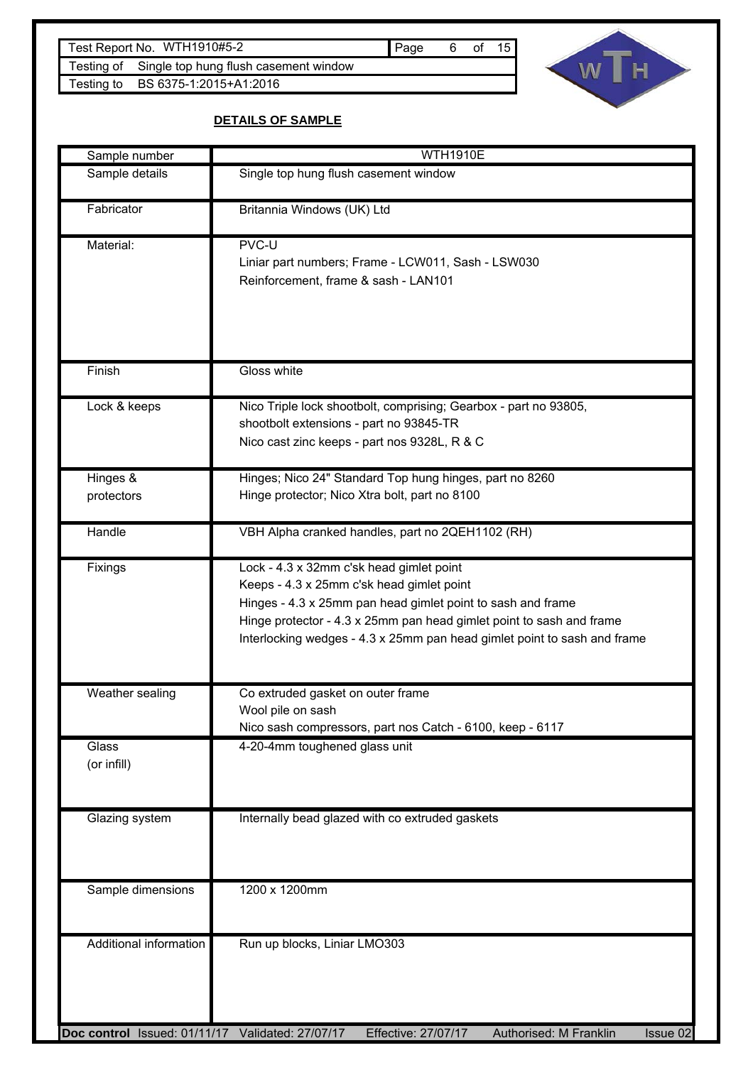Testing of Single top hung flush casement window Testing to BS 6375-1:2015+A1:2016



# **DETAILS OF SAMPLE**

| Sample number                                    | <b>WTH1910E</b>                                                                                                                                                                                                                                                                                          |
|--------------------------------------------------|----------------------------------------------------------------------------------------------------------------------------------------------------------------------------------------------------------------------------------------------------------------------------------------------------------|
| Sample details                                   | Single top hung flush casement window                                                                                                                                                                                                                                                                    |
| Fabricator                                       | Britannia Windows (UK) Ltd                                                                                                                                                                                                                                                                               |
| Material:                                        | PVC-U<br>Liniar part numbers; Frame - LCW011, Sash - LSW030<br>Reinforcement, frame & sash - LAN101                                                                                                                                                                                                      |
| Finish                                           | Gloss white                                                                                                                                                                                                                                                                                              |
| Lock & keeps                                     | Nico Triple lock shootbolt, comprising; Gearbox - part no 93805,<br>shootbolt extensions - part no 93845-TR<br>Nico cast zinc keeps - part nos 9328L, R & C                                                                                                                                              |
| Hinges &<br>protectors                           | Hinges; Nico 24" Standard Top hung hinges, part no 8260<br>Hinge protector; Nico Xtra bolt, part no 8100                                                                                                                                                                                                 |
| Handle                                           | VBH Alpha cranked handles, part no 2QEH1102 (RH)                                                                                                                                                                                                                                                         |
| Fixings                                          | Lock - 4.3 x 32mm c'sk head gimlet point<br>Keeps - 4.3 x 25mm c'sk head gimlet point<br>Hinges - 4.3 x 25mm pan head gimlet point to sash and frame<br>Hinge protector - 4.3 x 25mm pan head gimlet point to sash and frame<br>Interlocking wedges - 4.3 x 25mm pan head gimlet point to sash and frame |
| Weather sealing                                  | Co extruded gasket on outer frame<br>Wool pile on sash<br>Nico sash compressors, part nos Catch - 6100, keep - 6117                                                                                                                                                                                      |
| Glass<br>(or infill)                             | 4-20-4mm toughened glass unit                                                                                                                                                                                                                                                                            |
| Glazing system                                   | Internally bead glazed with co extruded gaskets                                                                                                                                                                                                                                                          |
| Sample dimensions                                | 1200 x 1200mm                                                                                                                                                                                                                                                                                            |
| Additional information                           | Run up blocks, Liniar LMO303                                                                                                                                                                                                                                                                             |
| Doc control Issued: 01/11/17 Validated: 27/07/17 | Effective: 27/07/17<br>Authorised: M Franklin<br>Issue 02                                                                                                                                                                                                                                                |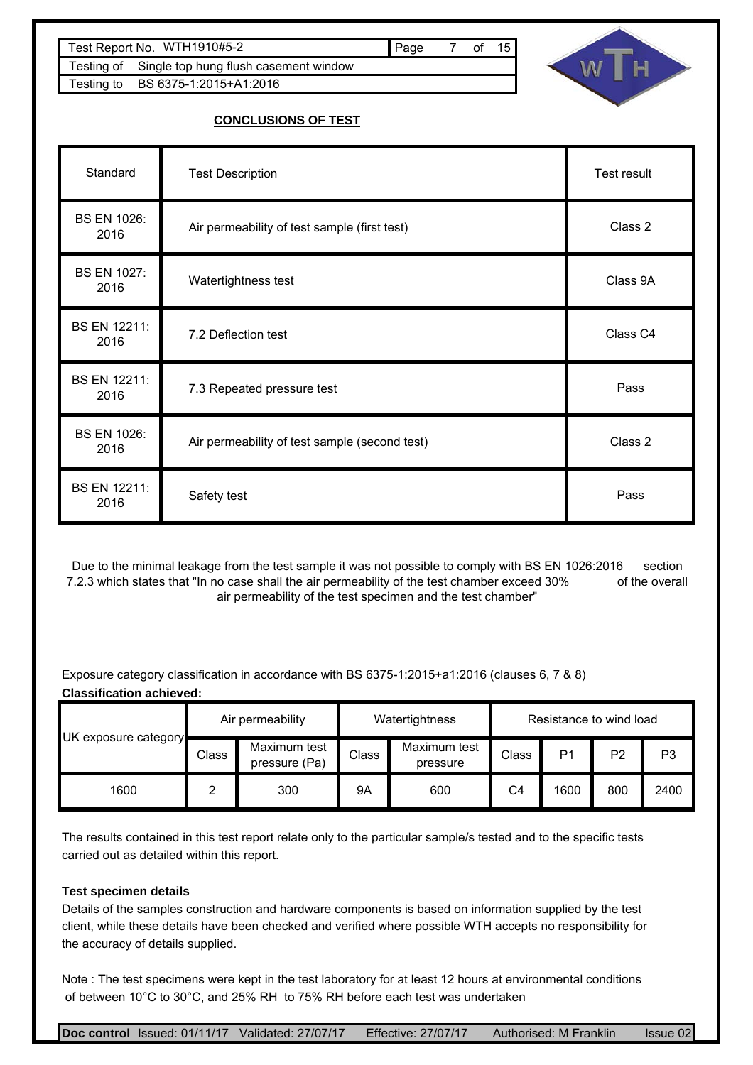| Test Report No. WTH1910#5-2                      | <b>I</b> Page | of | 15 |
|--------------------------------------------------|---------------|----|----|
| Testing of Single top hung flush casement window |               |    |    |
| Testing to BS 6375-1:2015+A1:2016                |               |    |    |



# **CONCLUSIONS OF TEST**

| Standard                    | <b>Test Description</b>                       | Test result |
|-----------------------------|-----------------------------------------------|-------------|
| <b>BS EN 1026:</b><br>2016  | Air permeability of test sample (first test)  | Class 2     |
| <b>BS EN 1027:</b><br>2016  | Watertightness test                           | Class 9A    |
| <b>BS EN 12211:</b><br>2016 | 7.2 Deflection test                           | Class C4    |
| <b>BS EN 12211:</b><br>2016 | 7.3 Repeated pressure test                    | Pass        |
| <b>BS EN 1026:</b><br>2016  | Air permeability of test sample (second test) | Class 2     |
| BS EN 12211:<br>2016        | Safety test                                   | Pass        |

Due to the minimal leakage from the test sample it was not possible to comply with BS EN 1026:2016 section 7.2.3 which states that "In no case shall the air permeability of the test chamber exceed 30% of the overall air permeability of the test specimen and the test chamber"

Exposure category classification in accordance with BS 6375-1:2015+a1:2016 (clauses 6, 7 & 8) **Classification achieved:**

|                      |       | Air permeability              | Watertightness<br>Resistance to wind load |                          |                |      |                |                |
|----------------------|-------|-------------------------------|-------------------------------------------|--------------------------|----------------|------|----------------|----------------|
| UK exposure category | Class | Maximum test<br>pressure (Pa) | Class                                     | Maximum test<br>pressure | Class          | P1   | P <sub>2</sub> | P <sub>3</sub> |
| 1600                 | ⌒     | 300                           | 9Α                                        | 600                      | C <sub>4</sub> | 1600 | 800            | 2400           |

The results contained in this test report relate only to the particular sample/s tested and to the specific tests carried out as detailed within this report.

### **Test specimen details**

Details of the samples construction and hardware components is based on information supplied by the test client, while these details have been checked and verified where possible WTH accepts no responsibility for the accuracy of details supplied.

Note : The test specimens were kept in the test laboratory for at least 12 hours at environmental conditions of between 10°C to 30°C, and 25% RH to 75% RH before each test was undertaken

| Doc control Issued: 01/11/17 Validated: 27/07/17 | Effective: 27/07/17 | Authorised: M Franklin | <b>Issue 02</b> |
|--------------------------------------------------|---------------------|------------------------|-----------------|
|--------------------------------------------------|---------------------|------------------------|-----------------|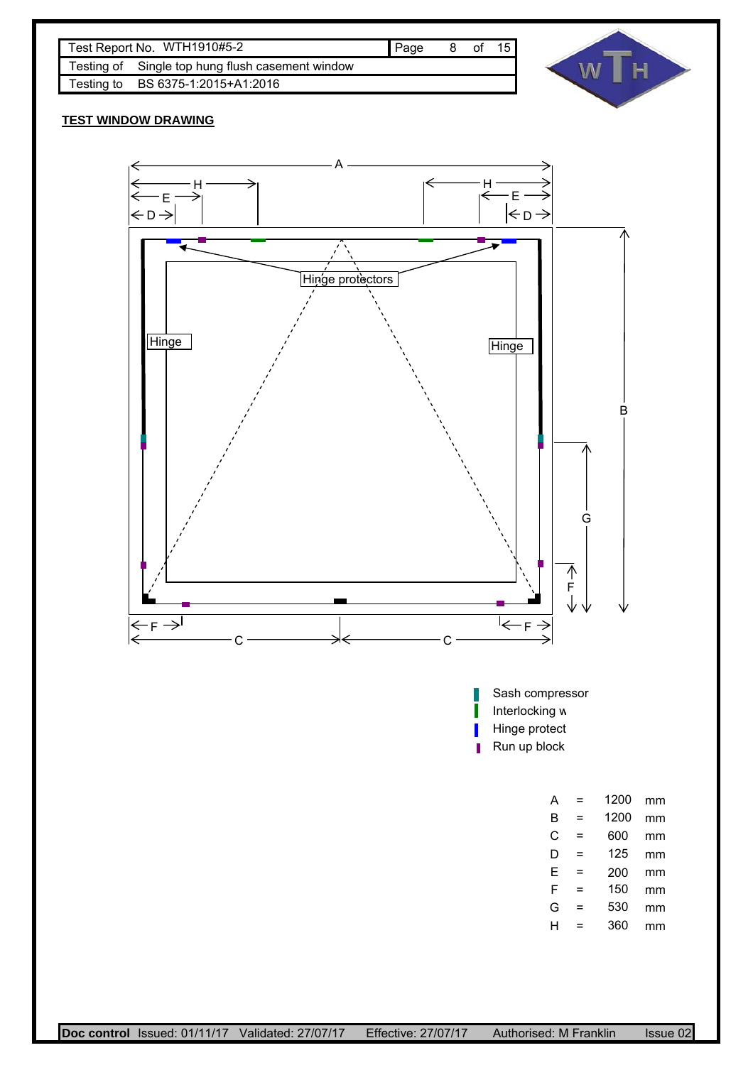



### **TEST WINDOW DRAWING**

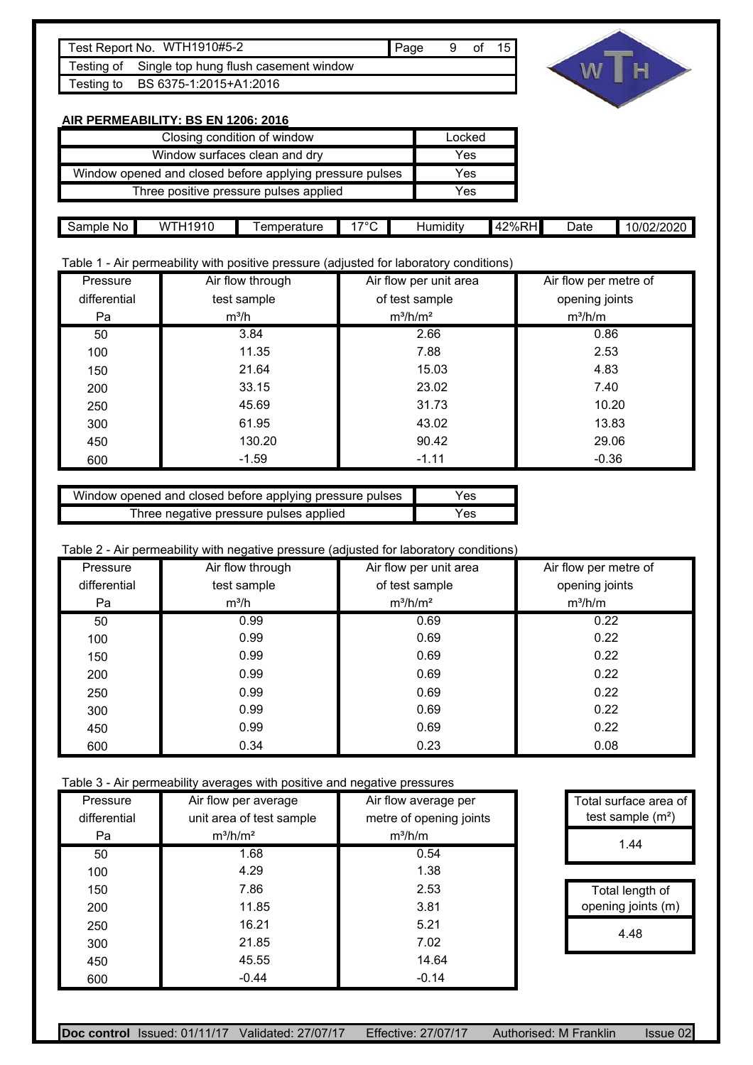| Test Report No. WTH1910#5-2                      | ∎ Page | 9 of 15 |  |
|--------------------------------------------------|--------|---------|--|
| Testing of Single top hung flush casement window |        |         |  |
| Testing to BS 6375-1:2015+A1:2016                |        |         |  |
|                                                  |        |         |  |



# **AIR PERMEABILITY: BS EN 1206: 2016**

| Closing condition of window                              | Locked |
|----------------------------------------------------------|--------|
| Window surfaces clean and dry                            | Yes    |
| Window opened and closed before applying pressure pulses | Yes    |
| Three positive pressure pulses applied                   | Yes    |

|              | $\sim$                 |              |                    |          | $\overline{\phantom{0}}$                        | _    |                    |
|--------------|------------------------|--------------|--------------------|----------|-------------------------------------------------|------|--------------------|
| Sample<br>No | 101 C<br>w<br>. .<br>. | I emperature | $\rightarrow \sim$ | Humidity | $2\%$ ı<br>:HI<br>4<br>$\overline{\phantom{a}}$ | ⊃ate | 10/02/202c<br>עו " |
|              | 1 U<br>כ ו             |              |                    |          |                                                 |      | /UZ/ZUZU           |
|              |                        |              |                    |          |                                                 |      |                    |
|              |                        |              |                    |          |                                                 |      |                    |

# Table 1 - Air permeability with positive pressure (adjusted for laboratory conditions)

| Pressure     | Air flow through | Air flow per unit area | Air flow per metre of |
|--------------|------------------|------------------------|-----------------------|
| differential | test sample      | of test sample         | opening joints        |
| Pa           | $m^3/h$          | $m^3/h/m^2$            | $m^3/h/m$             |
| 50           | 3.84             | 2.66                   | 0.86                  |
| 100          | 11.35            | 7.88                   | 2.53                  |
| 150          | 21.64            | 15.03                  | 4.83                  |
| 200          | 33.15            | 23.02                  | 7.40                  |
| 250          | 45.69            | 31.73                  | 10.20                 |
| 300          | 61.95            | 43.02                  | 13.83                 |
| 450          | 130.20           | 90.42                  | 29.06                 |
| 600          | $-1.59$          | $-1.11$                | $-0.36$               |

| Window opened and closed before applying pressure pulses | Yes  |
|----------------------------------------------------------|------|
| Three negative pressure pulses applied                   | Yes. |

#### Table 2 - Air permeability with negative pressure (adjusted for laboratory conditions)

| Pressure     | Air flow through | Air flow per unit area | Air flow per metre of |
|--------------|------------------|------------------------|-----------------------|
| differential | test sample      | of test sample         | opening joints        |
| Pa           | $m^3/h$          | $m^3/h/m^2$            | $m^3/h/m$             |
| 50           | 0.99             | 0.69                   | 0.22                  |
| 100          | 0.99             | 0.69                   | 0.22                  |
| 150          | 0.99             | 0.69                   | 0.22                  |
| 200          | 0.99             | 0.69                   | 0.22                  |
| 250          | 0.99             | 0.69                   | 0.22                  |
| 300          | 0.99             | 0.69                   | 0.22                  |
| 450          | 0.99             | 0.69                   | 0.22                  |
| 600          | 0.34             | 0.23                   | 0.08                  |

Table 3 - Air permeability averages with positive and negative pressures

| Pressure     | Air flow per average     | Air flow average per    | Total surface area of |
|--------------|--------------------------|-------------------------|-----------------------|
| differential | unit area of test sample | metre of opening joints | test sample $(m2)$    |
| Pa           | $m^3/h/m^2$              | $m^3/h/m$               | 1.44                  |
| 50           | 1.68                     | 0.54                    |                       |
| 100          | 4.29                     | 1.38                    |                       |
| 150          | 7.86                     | 2.53                    | Total length of       |
| 200          | 11.85                    | 3.81                    | opening joints (m)    |
| 250          | 16.21                    | 5.21                    | 4.48                  |
| 300          | 21.85                    | 7.02                    |                       |
| 450          | 45.55                    | 14.64                   |                       |
| 600          | $-0.44$                  | $-0.14$                 |                       |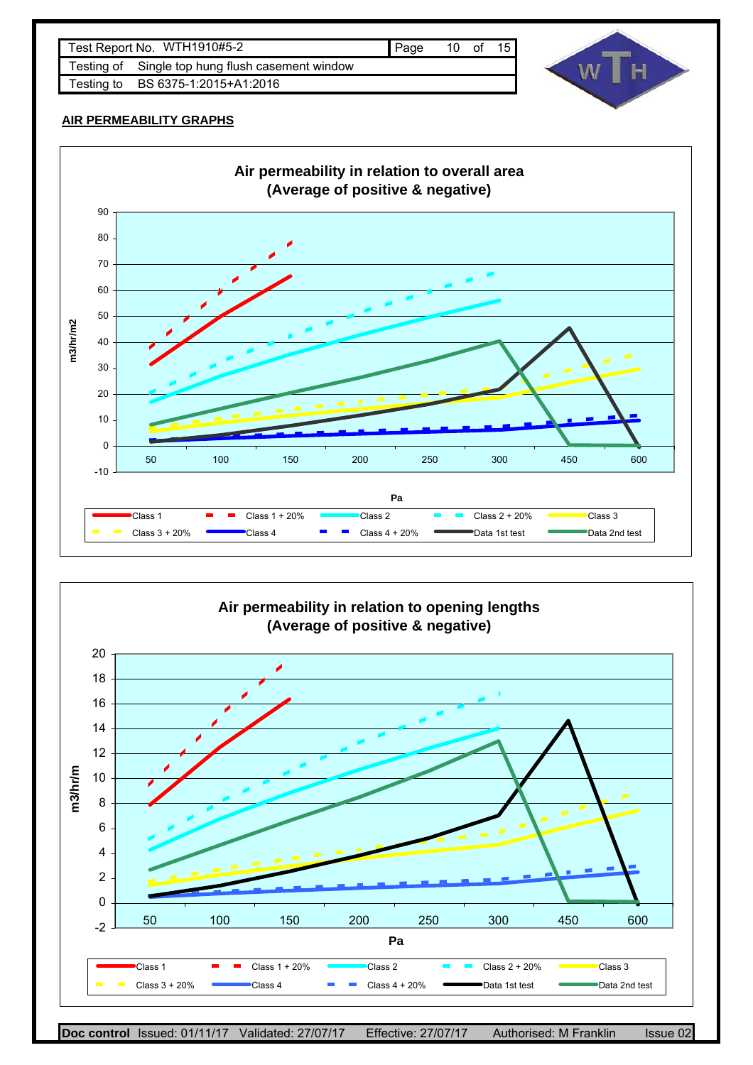





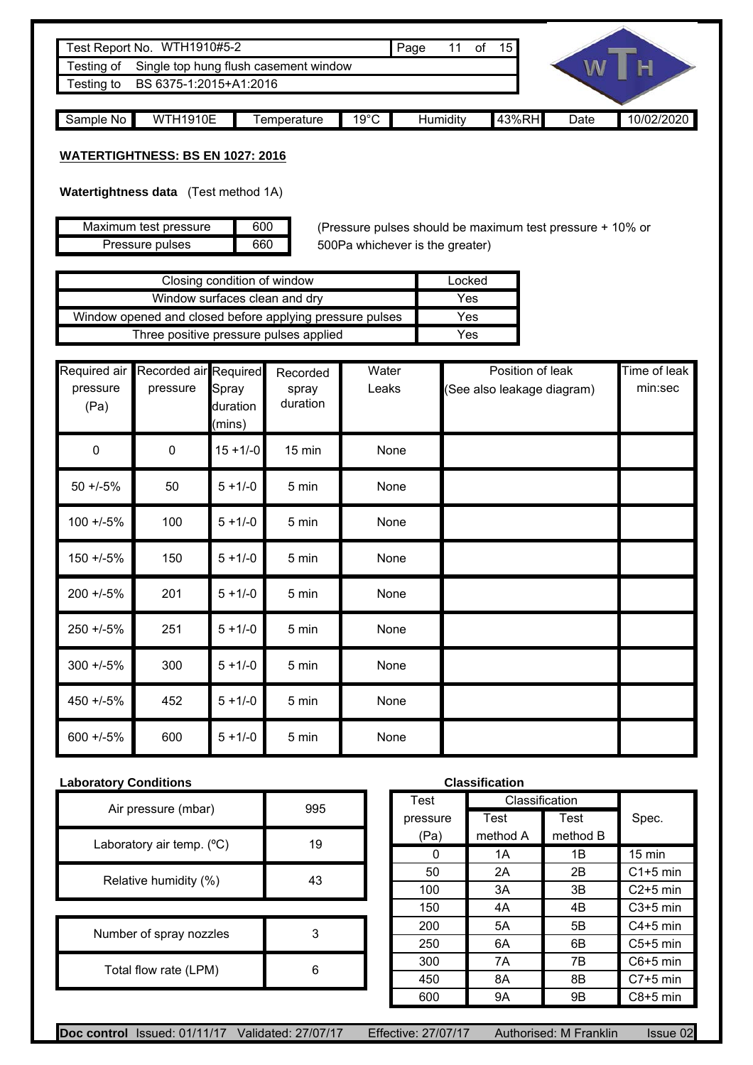|                                      | Test Report No. WTH1910#5-2           |             |                | Page |                 | οf | 15 <sup>1</sup> |      |            |
|--------------------------------------|---------------------------------------|-------------|----------------|------|-----------------|----|-----------------|------|------------|
| Testing of                           | Single top hung flush casement window |             |                |      |                 |    |                 |      |            |
| BS 6375-1:2015+A1:2016<br>Testing to |                                       |             |                |      |                 |    |                 |      |            |
|                                      |                                       |             |                |      |                 |    |                 |      |            |
| Sample No                            | <b>WTH1910E</b>                       | Femperature | $19^{\circ}$ C |      | <b>Humidity</b> |    | 43%RH           | Date | 10/02/2020 |

### **WATERTIGHTNESS: BS EN 1027: 2016**

**Watertightness data** (Test method 1A)

| Maximum test pressure | 600 |
|-----------------------|-----|
| Pressure pulses       | 660 |

(Pressure pulses should be maximum test pressure + 10% or 500Pa whichever is the greater)

| Closing condition of window                              | Locked |
|----------------------------------------------------------|--------|
| Window surfaces clean and dry                            | Yes    |
| Window opened and closed before applying pressure pulses | Yes    |
| Three positive pressure pulses applied                   | Yes    |

| Required air<br>pressure<br>(Pa) | Recorded air Required<br>pressure | Spray<br>duration<br>(mins) | Recorded<br>spray<br>duration | Water<br>Leaks | Position of leak<br>(See also leakage diagram) | Time of leak<br>min:sec |
|----------------------------------|-----------------------------------|-----------------------------|-------------------------------|----------------|------------------------------------------------|-------------------------|
| $\pmb{0}$                        | $\pmb{0}$                         | $15 + 1/-0$                 | 15 min                        | None           |                                                |                         |
| $50 + (-5)$                      | 50                                | $5 + 1/-0$                  | 5 min                         | None           |                                                |                         |
| $100 + (-5%)$                    | 100                               | $5 + 1/-0$                  | 5 min                         | None           |                                                |                         |
| $150 + (-5%)$                    | 150                               | $5 + 1/-0$                  | 5 min                         | None           |                                                |                         |
| $200 + 5\%$                      | 201                               | $5 + 1/-0$                  | 5 min                         | None           |                                                |                         |
| $250 + 5\%$                      | 251                               | $5 + 1/-0$                  | 5 min                         | None           |                                                |                         |
| $300 + 5\%$                      | 300                               | $5 + 1/-0$                  | 5 min                         | None           |                                                |                         |
| 450 +/-5%                        | 452                               | $5 + 1/-0$                  | 5 min                         | None           |                                                |                         |
| $600 + 5\%$                      | 600                               | $5 + 1/-0$                  | 5 min                         | None           |                                                |                         |

# **Laboratory Conditions Classification**

| Air pressure (mbar)       | 995 |  |
|---------------------------|-----|--|
| Laboratory air temp. (°C) | 19  |  |
| Relative humidity (%)     | 43  |  |
|                           |     |  |
| Number of spray nozzles   |     |  |
| Total flow rate (LPM)     |     |  |

| Classification |                |          |                  |  |  |  |  |
|----------------|----------------|----------|------------------|--|--|--|--|
| <b>Test</b>    | Classification |          |                  |  |  |  |  |
| pressure       | Test           | Test     | Spec.            |  |  |  |  |
| (Pa)           | method A       | method B |                  |  |  |  |  |
| O              | 1A             | 1Β       | $15 \text{ min}$ |  |  |  |  |
| 50             | 2A             | 2B       | $C1+5$ min       |  |  |  |  |
| 100            | 3A             | 3B       | $C2+5$ min       |  |  |  |  |
| 150            | 4A             | 4B       | $C3+5$ min       |  |  |  |  |
| 200            | 5Α             | 5Β       | $C4+5$ min       |  |  |  |  |
| 250            | 6A             | 6B       | $C5+5$ min       |  |  |  |  |
| 300            | 7A             | 7B       | $C6+5$ min       |  |  |  |  |
| 450            | 8Α             | 8B       | $C7+5$ min       |  |  |  |  |
| 600            | 9Α             | 9Β       | $C8+5$ min       |  |  |  |  |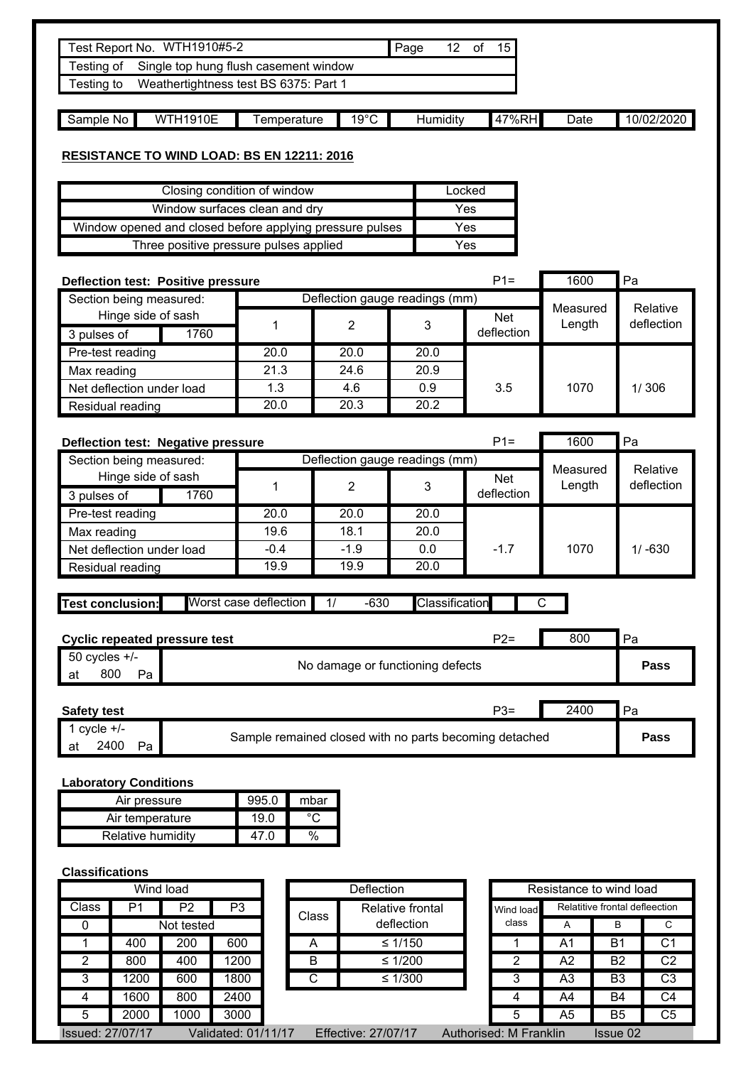|                                      | Test Report No. WTH1910#5-2                              |                 |      |                                                                                |                                  | Page             |                | 12 of<br>15                                            |                         |                                  |  |  |
|--------------------------------------|----------------------------------------------------------|-----------------|------|--------------------------------------------------------------------------------|----------------------------------|------------------|----------------|--------------------------------------------------------|-------------------------|----------------------------------|--|--|
| Testing of                           |                                                          |                 |      | Single top hung flush casement window<br>Weathertightness test BS 6375: Part 1 |                                  |                  |                |                                                        |                         |                                  |  |  |
| Testing to                           |                                                          |                 |      |                                                                                |                                  |                  |                |                                                        |                         |                                  |  |  |
| Sample No                            |                                                          | <b>WTH1910E</b> |      | Temperature                                                                    | $19^{\circ}$ C                   |                  | Humidity       | 47%RH                                                  | Date                    | 10/02/2020                       |  |  |
|                                      |                                                          |                 |      |                                                                                |                                  |                  |                |                                                        |                         |                                  |  |  |
|                                      |                                                          |                 |      | <b>RESISTANCE TO WIND LOAD: BS EN 12211: 2016</b>                              |                                  |                  |                |                                                        |                         |                                  |  |  |
|                                      | Closing condition of window<br>Locked                    |                 |      |                                                                                |                                  |                  |                |                                                        |                         |                                  |  |  |
| Window surfaces clean and dry<br>Yes |                                                          |                 |      |                                                                                |                                  |                  |                |                                                        |                         |                                  |  |  |
|                                      | Window opened and closed before applying pressure pulses |                 |      |                                                                                |                                  |                  |                |                                                        |                         |                                  |  |  |
|                                      |                                                          |                 |      | Three positive pressure pulses applied                                         |                                  |                  |                | Yes                                                    |                         |                                  |  |  |
|                                      |                                                          |                 |      |                                                                                |                                  |                  |                |                                                        |                         |                                  |  |  |
|                                      | <b>Deflection test: Positive pressure</b>                |                 |      |                                                                                |                                  |                  |                | $P1 =$                                                 | 1600                    | Pa                               |  |  |
|                                      | Section being measured:                                  |                 |      |                                                                                | Deflection gauge readings (mm)   |                  |                |                                                        | Measured                | Relative                         |  |  |
|                                      | Hinge side of sash                                       |                 |      | 1                                                                              | $\overline{2}$                   |                  | 3              | Net                                                    | Length                  | deflection                       |  |  |
| 3 pulses of                          |                                                          | 1760            |      |                                                                                |                                  |                  |                | deflection                                             |                         |                                  |  |  |
|                                      | Pre-test reading                                         |                 |      | 20.0                                                                           | 20.0                             |                  | 20.0           |                                                        |                         |                                  |  |  |
| Max reading                          |                                                          |                 |      | 21.3                                                                           | 24.6                             |                  | 20.9           |                                                        |                         |                                  |  |  |
|                                      | Net deflection under load                                |                 |      | 1.3                                                                            | 4.6                              |                  | 0.9            | 3.5                                                    | 1070                    | 1/306                            |  |  |
|                                      | Residual reading                                         |                 |      | 20.0                                                                           | 20.3                             |                  | 20.2           |                                                        |                         |                                  |  |  |
|                                      | Deflection test: Negative pressure                       |                 |      |                                                                                |                                  |                  |                | $P1 =$                                                 | 1600                    | Pa                               |  |  |
|                                      | Section being measured:                                  |                 |      |                                                                                | Deflection gauge readings (mm)   |                  |                |                                                        |                         |                                  |  |  |
|                                      | Hinge side of sash                                       |                 |      |                                                                                |                                  |                  |                | Net                                                    | Measured                | Relative                         |  |  |
| 3 pulses of                          |                                                          | 1760            |      | 1                                                                              | $\overline{2}$                   |                  | 3              | deflection                                             | Length                  | deflection                       |  |  |
|                                      | Pre-test reading                                         |                 |      | 20.0                                                                           | 20.0                             |                  | 20.0           |                                                        |                         |                                  |  |  |
| Max reading                          |                                                          |                 |      | 19.6                                                                           | 18.1                             |                  | 20.0           | $-1.7$                                                 |                         |                                  |  |  |
|                                      | Net deflection under load                                |                 |      | $-0.4$                                                                         | $-1.9$                           |                  | 0.0            |                                                        | 1070                    | $1/ -630$                        |  |  |
|                                      | Residual reading                                         |                 |      | 19.9                                                                           | 19.9                             |                  | 20.0           |                                                        |                         |                                  |  |  |
|                                      |                                                          |                 |      |                                                                                |                                  |                  |                |                                                        |                         |                                  |  |  |
| <b>Test conclusion:</b>              |                                                          |                 |      | Worst case deflection                                                          | 1/                               | $-630$           | Classification |                                                        | С                       |                                  |  |  |
|                                      |                                                          |                 |      |                                                                                |                                  |                  |                |                                                        |                         |                                  |  |  |
| <b>Cyclic repeated pressure test</b> |                                                          |                 |      |                                                                                |                                  |                  |                | $P2=$                                                  | 800                     | Pa                               |  |  |
| $50$ cycles $+/-$                    |                                                          |                 |      |                                                                                | No damage or functioning defects |                  |                |                                                        |                         | Pass                             |  |  |
| 800<br>at                            | Pa                                                       |                 |      |                                                                                |                                  |                  |                |                                                        |                         |                                  |  |  |
| <b>Safety test</b>                   |                                                          |                 |      |                                                                                |                                  |                  |                | $P3=$                                                  | 2400                    | Pa                               |  |  |
| 1 cycle $\overline{+/-}$             |                                                          |                 |      |                                                                                |                                  |                  |                | Sample remained closed with no parts becoming detached |                         | Pass                             |  |  |
| at                                   | 2400<br>Pa                                               |                 |      |                                                                                |                                  |                  |                |                                                        |                         |                                  |  |  |
| <b>Laboratory Conditions</b>         |                                                          |                 |      |                                                                                |                                  |                  |                |                                                        |                         |                                  |  |  |
|                                      | Air pressure                                             |                 |      | 995.0                                                                          | mbar                             |                  |                |                                                        |                         |                                  |  |  |
|                                      | Air temperature                                          |                 |      | 19.0                                                                           | $^{\circ}C$                      |                  |                |                                                        |                         |                                  |  |  |
|                                      | Relative humidity                                        |                 |      | 47.0                                                                           | $\%$                             |                  |                |                                                        |                         |                                  |  |  |
|                                      |                                                          |                 |      |                                                                                |                                  |                  |                |                                                        |                         |                                  |  |  |
| <b>Classifications</b>               |                                                          |                 |      |                                                                                |                                  |                  |                |                                                        |                         |                                  |  |  |
|                                      | <b>Wind load</b>                                         |                 |      |                                                                                |                                  | Deflection       |                |                                                        | Resistance to wind load |                                  |  |  |
| <b>Class</b>                         | P <sub>1</sub>                                           | P <sub>2</sub>  | P3   |                                                                                | Class                            | Relative frontal |                | Wind load                                              |                         | Relatitive frontal defleection   |  |  |
| 0                                    |                                                          | Not tested      |      |                                                                                |                                  | deflection       |                | class                                                  | Α                       | B<br>C                           |  |  |
| 1                                    | 400                                                      | 200             | 600  |                                                                                | A                                | $\leq 1/150$     |                | 1                                                      | A <sub>1</sub>          | <b>B1</b><br>C <sub>1</sub>      |  |  |
| $\overline{2}$                       | 800                                                      | 400             | 1200 |                                                                                | B                                | $≤ 1/200$        |                | $\overline{2}$                                         | A2                      | B <sub>2</sub><br>C <sub>2</sub> |  |  |
| 3<br>4                               | 1200                                                     | 600             | 1800 |                                                                                | C                                | $\leq 1/300$     |                | 3<br>4                                                 | A <sub>3</sub>          | C <sub>3</sub><br>B <sub>3</sub> |  |  |
|                                      | 1600                                                     | 800             | 2400 |                                                                                |                                  |                  |                |                                                        | A4                      | C <sub>4</sub><br><b>B4</b>      |  |  |

Issued: 27/07/17 Validated: 01/11/17 Effective: 27/07/17 Authorised: M Franklin Issue 02 5 2000 1000 3000 B5 3000 B5 A5 B5

C5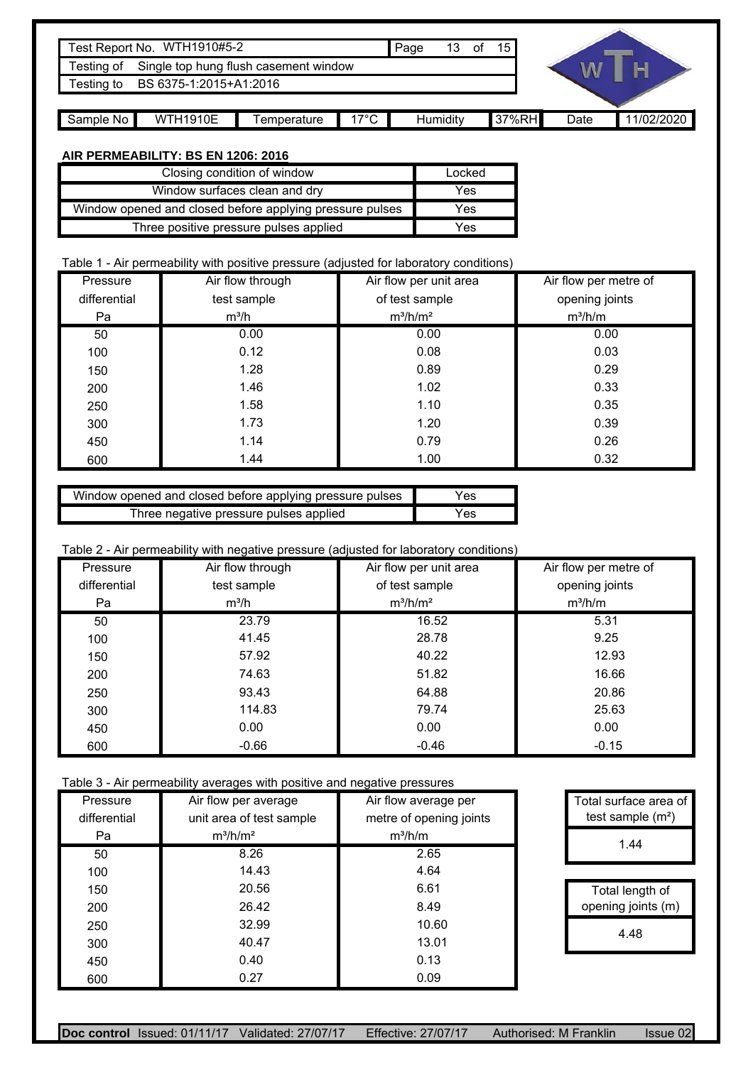|                                      | Test Report No. WTH1910#5-2           |             |                | Page     | 13 | 15    |      |            |
|--------------------------------------|---------------------------------------|-------------|----------------|----------|----|-------|------|------------|
| Testing of                           | Single top hung flush casement window |             |                |          |    |       |      |            |
| BS 6375-1:2015+A1:2016<br>Testing to |                                       |             |                |          |    |       |      |            |
|                                      |                                       |             |                |          |    |       |      |            |
| Sample No                            | <b>WTH1910E</b>                       | Temperature | $17^{\circ}$ C | Humidity |    | 37%RH | Date | 11/02/2020 |

#### **AIR PERMEABILITY: BS EN 1206: 2016**

| Closing condition of window                              | Locked |  |
|----------------------------------------------------------|--------|--|
| Window surfaces clean and dry                            | Yes    |  |
| Window opened and closed before applying pressure pulses | Yes    |  |
| Three positive pressure pulses applied                   | Yes    |  |

#### Table 1 - Air permeability with positive pressure (adjusted for laboratory conditions)

| Pressure     | Air flow through | Air flow per unit area | Air flow per metre of |  |  |
|--------------|------------------|------------------------|-----------------------|--|--|
| differential | test sample      | of test sample         | opening joints        |  |  |
| Pa           | $m^3/h$          | $m^3/h/m^2$            | $m^3/h/m$             |  |  |
| 50           | 0.00             | 0.00                   | 0.00                  |  |  |
| 100          | 0.12             | 0.08                   | 0.03                  |  |  |
| 150          | 1.28             | 0.89                   | 0.29                  |  |  |
| 200          | 1.46             | 1.02                   | 0.33                  |  |  |
| 250          | 1.58             | 1.10                   | 0.35                  |  |  |
| 300          | 1.73             | 1.20                   | 0.39                  |  |  |
| 450          | 1.14             | 0.79                   | 0.26                  |  |  |
| 600          | 1.44             | 1.00                   | 0.32                  |  |  |

| Window opened and closed before applying pressure pulses | Yes |
|----------------------------------------------------------|-----|
| Three negative pressure pulses applied                   | Yes |

#### Table 2 - Air permeability with negative pressure (adjusted for laboratory conditions)

|              | $\ddot{\phantom{1}}$<br>Air flow through |                        |                       |  |
|--------------|------------------------------------------|------------------------|-----------------------|--|
| Pressure     |                                          | Air flow per unit area | Air flow per metre of |  |
| differential | test sample                              | of test sample         | opening joints        |  |
| Pa           | $m^3/h$                                  | $m^3/h/m^2$            | $m^3/h/m$             |  |
| 50           | 23.79                                    | 16.52                  | 5.31                  |  |
| 100          | 41.45                                    | 28.78                  | 9.25                  |  |
| 150          | 57.92                                    | 40.22                  | 12.93                 |  |
| 200          | 74.63                                    | 51.82                  | 16.66                 |  |
| 250          | 93.43                                    | 64.88                  | 20.86                 |  |
| 300          | 114.83                                   | 79.74                  | 25.63                 |  |
| 450          | 0.00                                     | 0.00                   | 0.00                  |  |
| 600          | $-0.66$                                  | $-0.46$                | $-0.15$               |  |

Table 3 - Air permeability averages with positive and negative pressures

| Pressure<br>differential | Air flow per average<br>unit area of test sample | Air flow average per<br>metre of opening joints | Total surface area of<br>test sample $(m2)$ |
|--------------------------|--------------------------------------------------|-------------------------------------------------|---------------------------------------------|
|                          |                                                  |                                                 |                                             |
| Pa                       | $m^3/h/m^2$                                      | $m^3/h/m$                                       | 1.44                                        |
| 50                       | 8.26                                             | 2.65                                            |                                             |
| 100                      | 14.43                                            | 4.64                                            |                                             |
| 150                      | 20.56                                            | 6.61                                            | Total length of                             |
| 200                      | 26.42                                            | 8.49                                            | opening joints (m)                          |
| 250                      | 32.99                                            | 10.60                                           | 4.48                                        |
| 300                      | 40.47                                            | 13.01                                           |                                             |
| 450                      | 0.40                                             | 0.13                                            |                                             |
| 600                      | 0.27                                             | 0.09                                            |                                             |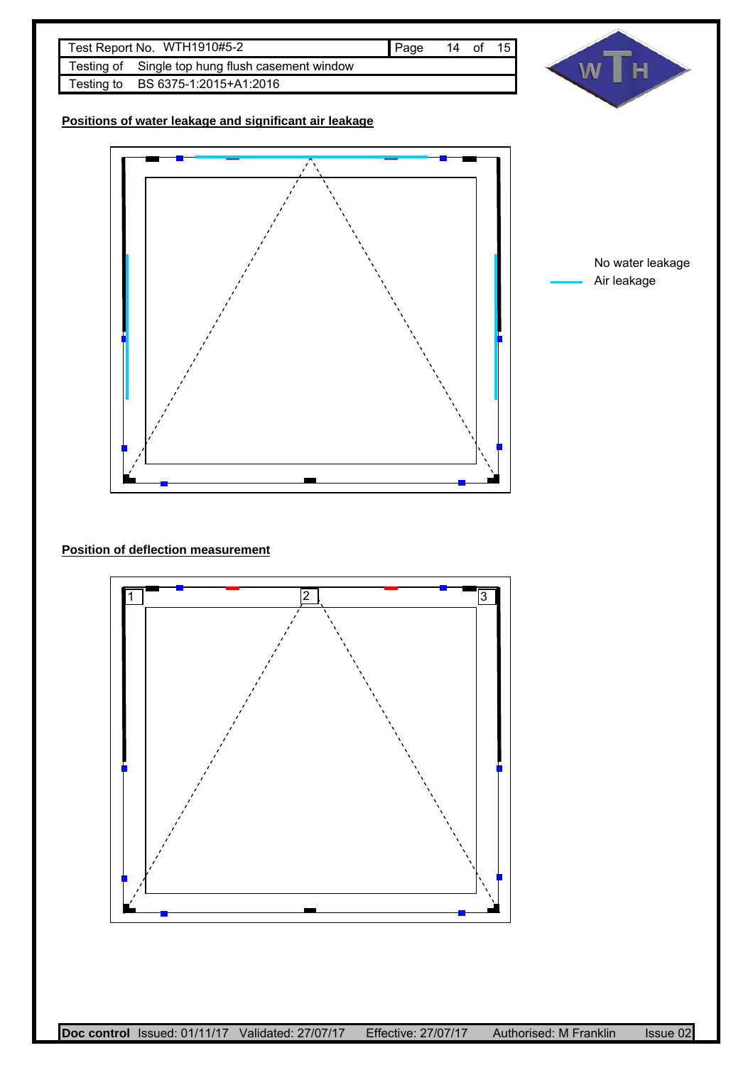



**Positions of water leakage and significant air leakage**



No water leakage Air leakage

### **Position of deflection measurement**